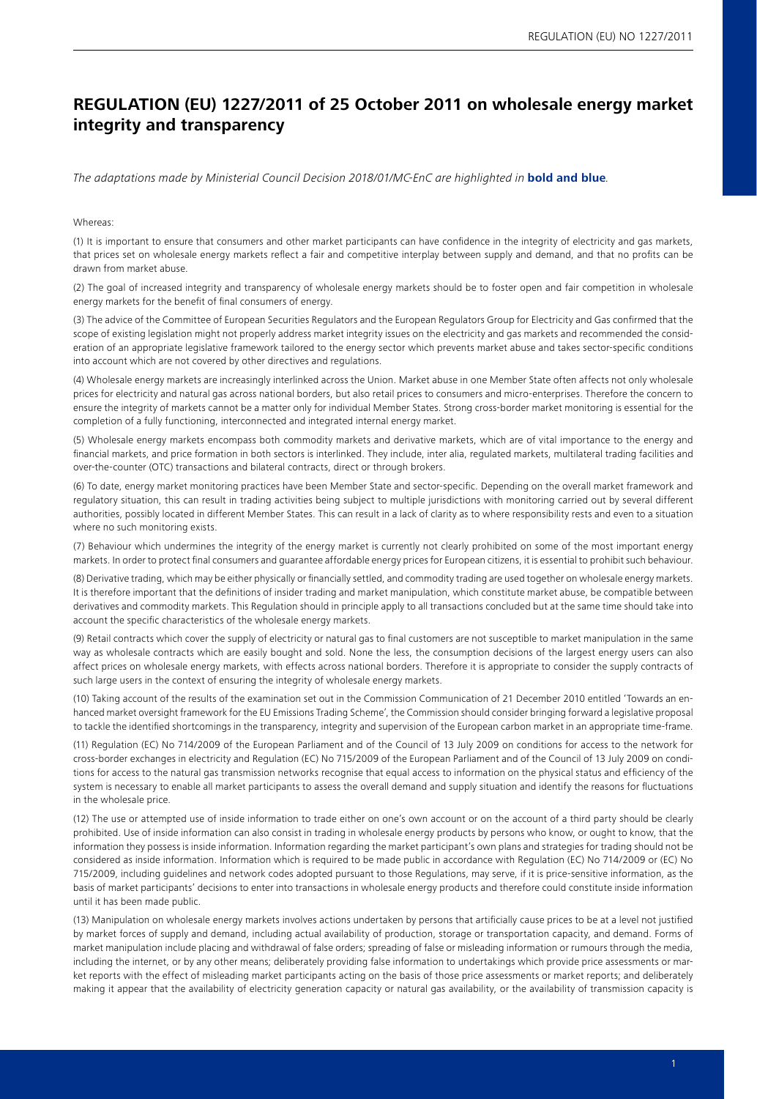## **REGULATION (EU) 1227/2011 of 25 October 2011 on wholesale energy market integrity and transparency**

*The adaptations made by Ministerial Council Decision 2018/01/MC-EnC are highlighted in* **bold and blue***.* 

#### Whereas:

(1) It is important to ensure that consumers and other market participants can have confidence in the integrity of electricity and gas markets, that prices set on wholesale energy markets reflect a fair and competitive interplay between supply and demand, and that no profits can be drawn from market abuse.

(2) The goal of increased integrity and transparency of wholesale energy markets should be to foster open and fair competition in wholesale energy markets for the benefit of final consumers of energy.

(3) The advice of the Committee of European Securities Regulators and the European Regulators Group for Electricity and Gas confirmed that the scope of existing legislation might not properly address market integrity issues on the electricity and gas markets and recommended the consideration of an appropriate legislative framework tailored to the energy sector which prevents market abuse and takes sector-specific conditions into account which are not covered by other directives and regulations.

(4) Wholesale energy markets are increasingly interlinked across the Union. Market abuse in one Member State often affects not only wholesale prices for electricity and natural gas across national borders, but also retail prices to consumers and micro-enterprises. Therefore the concern to ensure the integrity of markets cannot be a matter only for individual Member States. Strong cross-border market monitoring is essential for the completion of a fully functioning, interconnected and integrated internal energy market.

(5) Wholesale energy markets encompass both commodity markets and derivative markets, which are of vital importance to the energy and financial markets, and price formation in both sectors is interlinked. They include, inter alia, regulated markets, multilateral trading facilities and over-the-counter (OTC) transactions and bilateral contracts, direct or through brokers.

(6) To date, energy market monitoring practices have been Member State and sector-specific. Depending on the overall market framework and regulatory situation, this can result in trading activities being subject to multiple jurisdictions with monitoring carried out by several different authorities, possibly located in different Member States. This can result in a lack of clarity as to where responsibility rests and even to a situation where no such monitoring exists.

(7) Behaviour which undermines the integrity of the energy market is currently not clearly prohibited on some of the most important energy markets. In order to protect final consumers and guarantee affordable energy prices for European citizens, it is essential to prohibit such behaviour.

(8) Derivative trading, which may be either physically or financially settled, and commodity trading are used together on wholesale energy markets. It is therefore important that the definitions of insider trading and market manipulation, which constitute market abuse, be compatible between derivatives and commodity markets. This Regulation should in principle apply to all transactions concluded but at the same time should take into account the specific characteristics of the wholesale energy markets.

(9) Retail contracts which cover the supply of electricity or natural gas to final customers are not susceptible to market manipulation in the same way as wholesale contracts which are easily bought and sold. None the less, the consumption decisions of the largest energy users can also affect prices on wholesale energy markets, with effects across national borders. Therefore it is appropriate to consider the supply contracts of such large users in the context of ensuring the integrity of wholesale energy markets.

(10) Taking account of the results of the examination set out in the Commission Communication of 21 December 2010 entitled 'Towards an enhanced market oversight framework for the EU Emissions Trading Scheme', the Commission should consider bringing forward a legislative proposal to tackle the identified shortcomings in the transparency, integrity and supervision of the European carbon market in an appropriate time-frame.

(11) Regulation (EC) No 714/2009 of the European Parliament and of the Council of 13 July 2009 on conditions for access to the network for cross-border exchanges in electricity and Regulation (EC) No 715/2009 of the European Parliament and of the Council of 13 July 2009 on conditions for access to the natural gas transmission networks recognise that equal access to information on the physical status and efficiency of the system is necessary to enable all market participants to assess the overall demand and supply situation and identify the reasons for fluctuations in the wholesale price.

(12) The use or attempted use of inside information to trade either on one's own account or on the account of a third party should be clearly prohibited. Use of inside information can also consist in trading in wholesale energy products by persons who know, or ought to know, that the information they possess is inside information. Information regarding the market participant's own plans and strategies for trading should not be considered as inside information. Information which is required to be made public in accordance with Regulation (EC) No 714/2009 or (EC) No 715/2009, including guidelines and network codes adopted pursuant to those Regulations, may serve, if it is price-sensitive information, as the basis of market participants' decisions to enter into transactions in wholesale energy products and therefore could constitute inside information until it has been made public.

(13) Manipulation on wholesale energy markets involves actions undertaken by persons that artificially cause prices to be at a level not justified by market forces of supply and demand, including actual availability of production, storage or transportation capacity, and demand. Forms of market manipulation include placing and withdrawal of false orders; spreading of false or misleading information or rumours through the media, including the internet, or by any other means; deliberately providing false information to undertakings which provide price assessments or market reports with the effect of misleading market participants acting on the basis of those price assessments or market reports; and deliberately making it appear that the availability of electricity generation capacity or natural gas availability, or the availability of transmission capacity is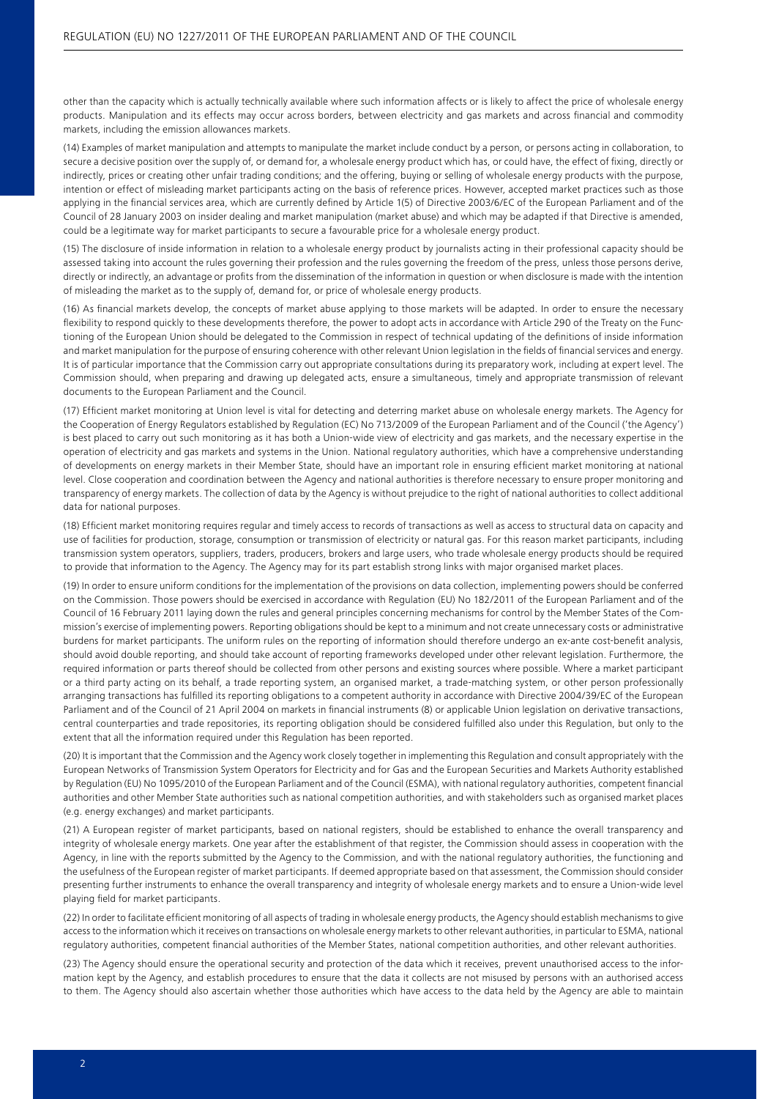other than the capacity which is actually technically available where such information affects or is likely to affect the price of wholesale energy products. Manipulation and its effects may occur across borders, between electricity and gas markets and across financial and commodity markets, including the emission allowances markets.

(14) Examples of market manipulation and attempts to manipulate the market include conduct by a person, or persons acting in collaboration, to secure a decisive position over the supply of, or demand for, a wholesale energy product which has, or could have, the effect of fixing, directly or indirectly, prices or creating other unfair trading conditions; and the offering, buying or selling of wholesale energy products with the purpose, intention or effect of misleading market participants acting on the basis of reference prices. However, accepted market practices such as those applying in the financial services area, which are currently defined by Article 1(5) of Directive 2003/6/EC of the European Parliament and of the Council of 28 January 2003 on insider dealing and market manipulation (market abuse) and which may be adapted if that Directive is amended, could be a legitimate way for market participants to secure a favourable price for a wholesale energy product.

(15) The disclosure of inside information in relation to a wholesale energy product by journalists acting in their professional capacity should be assessed taking into account the rules governing their profession and the rules governing the freedom of the press, unless those persons derive, directly or indirectly, an advantage or profits from the dissemination of the information in question or when disclosure is made with the intention of misleading the market as to the supply of, demand for, or price of wholesale energy products.

(16) As financial markets develop, the concepts of market abuse applying to those markets will be adapted. In order to ensure the necessary flexibility to respond quickly to these developments therefore, the power to adopt acts in accordance with Article 290 of the Treaty on the Functioning of the European Union should be delegated to the Commission in respect of technical updating of the definitions of inside information and market manipulation for the purpose of ensuring coherence with other relevant Union legislation in the fields of financial services and energy. It is of particular importance that the Commission carry out appropriate consultations during its preparatory work, including at expert level. The Commission should, when preparing and drawing up delegated acts, ensure a simultaneous, timely and appropriate transmission of relevant documents to the European Parliament and the Council.

(17) Efficient market monitoring at Union level is vital for detecting and deterring market abuse on wholesale energy markets. The Agency for the Cooperation of Energy Regulators established by Regulation (EC) No 713/2009 of the European Parliament and of the Council ('the Agency') is best placed to carry out such monitoring as it has both a Union-wide view of electricity and gas markets, and the necessary expertise in the operation of electricity and gas markets and systems in the Union. National regulatory authorities, which have a comprehensive understanding of developments on energy markets in their Member State, should have an important role in ensuring efficient market monitoring at national level. Close cooperation and coordination between the Agency and national authorities is therefore necessary to ensure proper monitoring and transparency of energy markets. The collection of data by the Agency is without prejudice to the right of national authorities to collect additional data for national purposes.

(18) Efficient market monitoring requires regular and timely access to records of transactions as well as access to structural data on capacity and use of facilities for production, storage, consumption or transmission of electricity or natural gas. For this reason market participants, including transmission system operators, suppliers, traders, producers, brokers and large users, who trade wholesale energy products should be required to provide that information to the Agency. The Agency may for its part establish strong links with major organised market places.

(19) In order to ensure uniform conditions for the implementation of the provisions on data collection, implementing powers should be conferred on the Commission. Those powers should be exercised in accordance with Regulation (EU) No 182/2011 of the European Parliament and of the Council of 16 February 2011 laying down the rules and general principles concerning mechanisms for control by the Member States of the Commission's exercise of implementing powers. Reporting obligations should be kept to a minimum and not create unnecessary costs or administrative burdens for market participants. The uniform rules on the reporting of information should therefore undergo an ex-ante cost-benefit analysis, should avoid double reporting, and should take account of reporting frameworks developed under other relevant legislation. Furthermore, the required information or parts thereof should be collected from other persons and existing sources where possible. Where a market participant or a third party acting on its behalf, a trade reporting system, an organised market, a trade-matching system, or other person professionally arranging transactions has fulfilled its reporting obligations to a competent authority in accordance with Directive 2004/39/EC of the European Parliament and of the Council of 21 April 2004 on markets in financial instruments (8) or applicable Union legislation on derivative transactions, central counterparties and trade repositories, its reporting obligation should be considered fulfilled also under this Regulation, but only to the extent that all the information required under this Regulation has been reported.

(20) It is important that the Commission and the Agency work closely together in implementing this Regulation and consult appropriately with the European Networks of Transmission System Operators for Electricity and for Gas and the European Securities and Markets Authority established by Regulation (EU) No 1095/2010 of the European Parliament and of the Council (ESMA), with national regulatory authorities, competent financial authorities and other Member State authorities such as national competition authorities, and with stakeholders such as organised market places (e.g. energy exchanges) and market participants.

(21) A European register of market participants, based on national registers, should be established to enhance the overall transparency and integrity of wholesale energy markets. One year after the establishment of that register, the Commission should assess in cooperation with the Agency, in line with the reports submitted by the Agency to the Commission, and with the national regulatory authorities, the functioning and the usefulness of the European register of market participants. If deemed appropriate based on that assessment, the Commission should consider presenting further instruments to enhance the overall transparency and integrity of wholesale energy markets and to ensure a Union-wide level playing field for market participants.

(22) In order to facilitate efficient monitoring of all aspects of trading in wholesale energy products, the Agency should establish mechanisms to give access to the information which it receives on transactions on wholesale energy markets to other relevant authorities, in particular to ESMA, national regulatory authorities, competent financial authorities of the Member States, national competition authorities, and other relevant authorities.

(23) The Agency should ensure the operational security and protection of the data which it receives, prevent unauthorised access to the information kept by the Agency, and establish procedures to ensure that the data it collects are not misused by persons with an authorised access to them. The Agency should also ascertain whether those authorities which have access to the data held by the Agency are able to maintain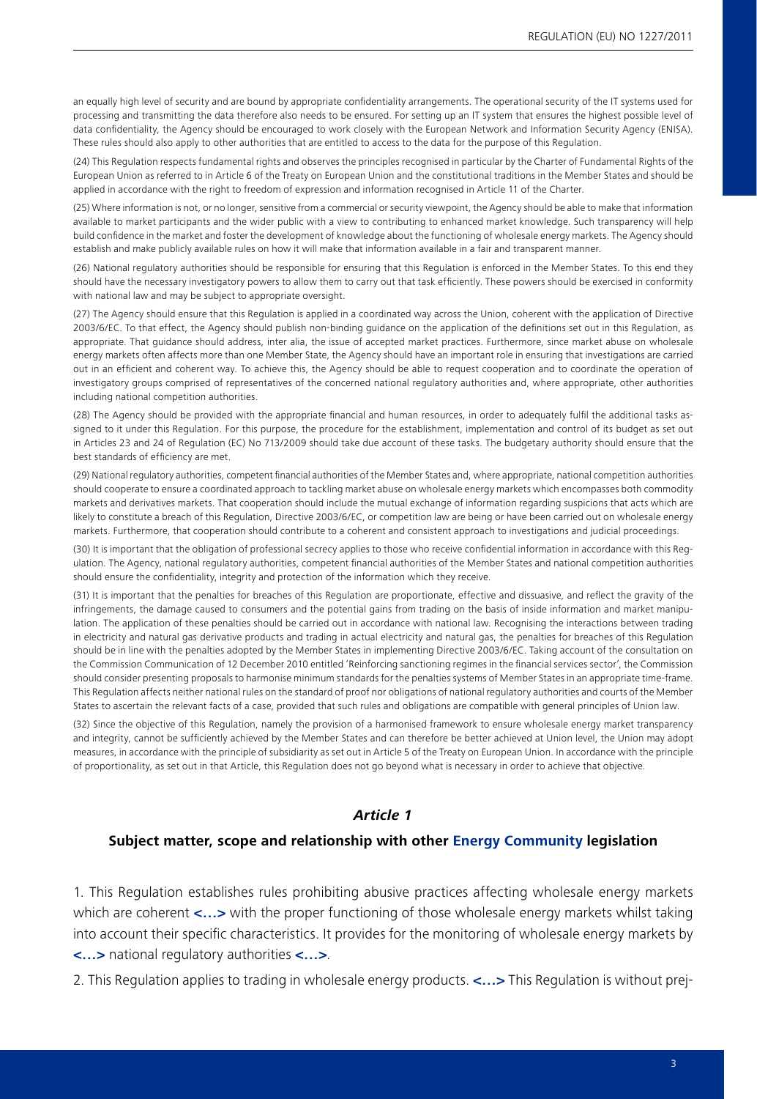an equally high level of security and are bound by appropriate confidentiality arrangements. The operational security of the IT systems used for processing and transmitting the data therefore also needs to be ensured. For setting up an IT system that ensures the highest possible level of data confidentiality, the Agency should be encouraged to work closely with the European Network and Information Security Agency (ENISA). These rules should also apply to other authorities that are entitled to access to the data for the purpose of this Regulation.

(24) This Regulation respects fundamental rights and observes the principles recognised in particular by the Charter of Fundamental Rights of the European Union as referred to in Article 6 of the Treaty on European Union and the constitutional traditions in the Member States and should be applied in accordance with the right to freedom of expression and information recognised in Article 11 of the Charter.

(25) Where information is not, or no longer, sensitive from a commercial or security viewpoint, the Agency should be able to make that information available to market participants and the wider public with a view to contributing to enhanced market knowledge. Such transparency will help build confidence in the market and foster the development of knowledge about the functioning of wholesale energy markets. The Agency should establish and make publicly available rules on how it will make that information available in a fair and transparent manner.

(26) National regulatory authorities should be responsible for ensuring that this Regulation is enforced in the Member States. To this end they should have the necessary investigatory powers to allow them to carry out that task efficiently. These powers should be exercised in conformity with national law and may be subject to appropriate oversight.

(27) The Agency should ensure that this Regulation is applied in a coordinated way across the Union, coherent with the application of Directive 2003/6/EC. To that effect, the Agency should publish non-binding guidance on the application of the definitions set out in this Regulation, as appropriate. That guidance should address, inter alia, the issue of accepted market practices. Furthermore, since market abuse on wholesale energy markets often affects more than one Member State, the Agency should have an important role in ensuring that investigations are carried out in an efficient and coherent way. To achieve this, the Agency should be able to request cooperation and to coordinate the operation of investigatory groups comprised of representatives of the concerned national regulatory authorities and, where appropriate, other authorities including national competition authorities.

(28) The Agency should be provided with the appropriate financial and human resources, in order to adequately fulfil the additional tasks assigned to it under this Regulation. For this purpose, the procedure for the establishment, implementation and control of its budget as set out in Articles 23 and 24 of Regulation (EC) No 713/2009 should take due account of these tasks. The budgetary authority should ensure that the best standards of efficiency are met.

(29) National regulatory authorities, competent financial authorities of the Member States and, where appropriate, national competition authorities should cooperate to ensure a coordinated approach to tackling market abuse on wholesale energy markets which encompasses both commodity markets and derivatives markets. That cooperation should include the mutual exchange of information regarding suspicions that acts which are likely to constitute a breach of this Regulation, Directive 2003/6/EC, or competition law are being or have been carried out on wholesale energy markets. Furthermore, that cooperation should contribute to a coherent and consistent approach to investigations and judicial proceedings.

(30) It is important that the obligation of professional secrecy applies to those who receive confidential information in accordance with this Regulation. The Agency, national regulatory authorities, competent financial authorities of the Member States and national competition authorities should ensure the confidentiality, integrity and protection of the information which they receive.

(31) It is important that the penalties for breaches of this Regulation are proportionate, effective and dissuasive, and reflect the gravity of the infringements, the damage caused to consumers and the potential gains from trading on the basis of inside information and market manipulation. The application of these penalties should be carried out in accordance with national law. Recognising the interactions between trading in electricity and natural gas derivative products and trading in actual electricity and natural gas, the penalties for breaches of this Regulation should be in line with the penalties adopted by the Member States in implementing Directive 2003/6/EC. Taking account of the consultation on the Commission Communication of 12 December 2010 entitled 'Reinforcing sanctioning regimes in the financial services sector', the Commission should consider presenting proposals to harmonise minimum standards for the penalties systems of Member States in an appropriate time-frame. This Regulation affects neither national rules on the standard of proof nor obligations of national regulatory authorities and courts of the Member States to ascertain the relevant facts of a case, provided that such rules and obligations are compatible with general principles of Union law.

(32) Since the objective of this Regulation, namely the provision of a harmonised framework to ensure wholesale energy market transparency and integrity, cannot be sufficiently achieved by the Member States and can therefore be better achieved at Union level, the Union may adopt measures, in accordance with the principle of subsidiarity as set out in Article 5 of the Treaty on European Union. In accordance with the principle of proportionality, as set out in that Article, this Regulation does not go beyond what is necessary in order to achieve that objective.

#### *Article 1*

#### **Subject matter, scope and relationship with other Energy Community legislation**

1. This Regulation establishes rules prohibiting abusive practices affecting wholesale energy markets which are coherent **<…>** with the proper functioning of those wholesale energy markets whilst taking into account their specific characteristics. It provides for the monitoring of wholesale energy markets by **<…>** national regulatory authorities **<…>**.

2. This Regulation applies to trading in wholesale energy products. **<…>** This Regulation is without prej-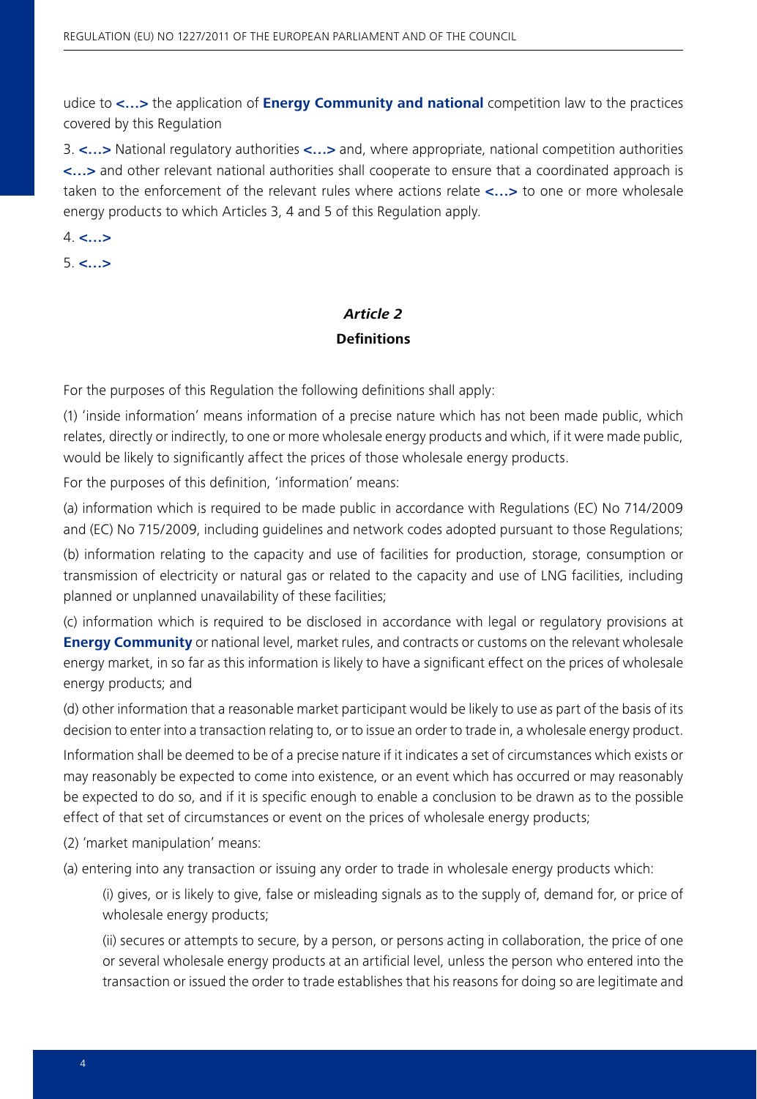udice to **<…>** the application of **Energy Community and national** competition law to the practices covered by this Regulation

3. **<…>** National regulatory authorities **<…>** and, where appropriate, national competition authorities **<…>** and other relevant national authorities shall cooperate to ensure that a coordinated approach is taken to the enforcement of the relevant rules where actions relate **<…>** to one or more wholesale energy products to which Articles 3, 4 and 5 of this Regulation apply.

4. **<…>**

5. **<…>**

### *Article 2* **Definitions**

For the purposes of this Regulation the following definitions shall apply:

(1) 'inside information' means information of a precise nature which has not been made public, which relates, directly or indirectly, to one or more wholesale energy products and which, if it were made public, would be likely to significantly affect the prices of those wholesale energy products.

For the purposes of this definition, 'information' means:

(a) information which is required to be made public in accordance with Regulations (EC) No 714/2009 and (EC) No 715/2009, including guidelines and network codes adopted pursuant to those Regulations;

(b) information relating to the capacity and use of facilities for production, storage, consumption or transmission of electricity or natural gas or related to the capacity and use of LNG facilities, including planned or unplanned unavailability of these facilities;

(c) information which is required to be disclosed in accordance with legal or regulatory provisions at **Energy Community** or national level, market rules, and contracts or customs on the relevant wholesale energy market, in so far as this information is likely to have a significant effect on the prices of wholesale energy products; and

(d) other information that a reasonable market participant would be likely to use as part of the basis of its decision to enter into a transaction relating to, or to issue an order to trade in, a wholesale energy product.

Information shall be deemed to be of a precise nature if it indicates a set of circumstances which exists or may reasonably be expected to come into existence, or an event which has occurred or may reasonably be expected to do so, and if it is specific enough to enable a conclusion to be drawn as to the possible effect of that set of circumstances or event on the prices of wholesale energy products;

(2) 'market manipulation' means:

(a) entering into any transaction or issuing any order to trade in wholesale energy products which:

(i) gives, or is likely to give, false or misleading signals as to the supply of, demand for, or price of wholesale energy products;

(ii) secures or attempts to secure, by a person, or persons acting in collaboration, the price of one or several wholesale energy products at an artificial level, unless the person who entered into the transaction or issued the order to trade establishes that his reasons for doing so are legitimate and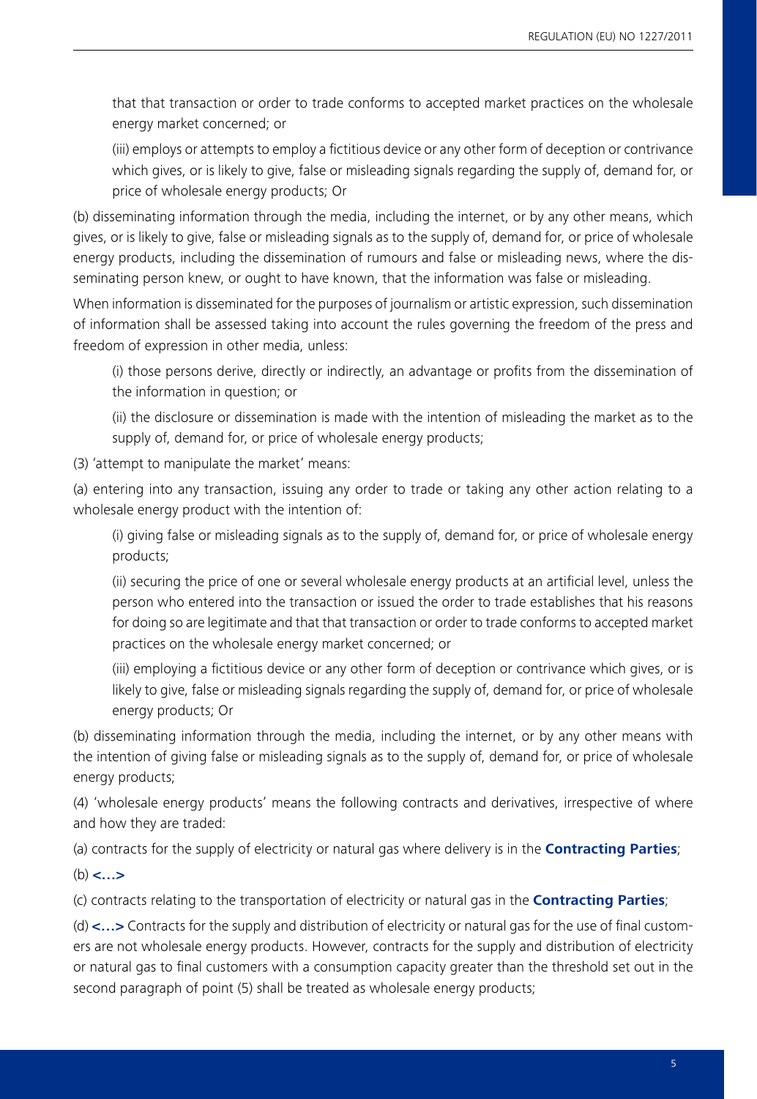that that transaction or order to trade conforms to accepted market practices on the wholesale energy market concerned; or

(iii) employs or attempts to employ a fictitious device or any other form of deception or contrivance which gives, or is likely to give, false or misleading signals regarding the supply of, demand for, or price of wholesale energy products; Or

(b) disseminating information through the media, including the internet, or by any other means, which gives, or is likely to give, false or misleading signals as to the supply of, demand for, or price of wholesale energy products, including the dissemination of rumours and false or misleading news, where the disseminating person knew, or ought to have known, that the information was false or misleading.

When information is disseminated for the purposes of journalism or artistic expression, such dissemination of information shall be assessed taking into account the rules governing the freedom of the press and freedom of expression in other media, unless:

(i) those persons derive, directly or indirectly, an advantage or profits from the dissemination of the information in question; or

(ii) the disclosure or dissemination is made with the intention of misleading the market as to the supply of, demand for, or price of wholesale energy products;

(3) 'attempt to manipulate the market' means:

(a) entering into any transaction, issuing any order to trade or taking any other action relating to a wholesale energy product with the intention of:

(i) giving false or misleading signals as to the supply of, demand for, or price of wholesale energy products;

(ii) securing the price of one or several wholesale energy products at an artificial level, unless the person who entered into the transaction or issued the order to trade establishes that his reasons for doing so are legitimate and that that transaction or order to trade conforms to accepted market practices on the wholesale energy market concerned; or

(iii) employing a fictitious device or any other form of deception or contrivance which gives, or is likely to give, false or misleading signals regarding the supply of, demand for, or price of wholesale energy products; Or

(b) disseminating information through the media, including the internet, or by any other means with the intention of giving false or misleading signals as to the supply of, demand for, or price of wholesale energy products;

(4) 'wholesale energy products' means the following contracts and derivatives, irrespective of where and how they are traded:

(a) contracts for the supply of electricity or natural gas where delivery is in the **Contracting Parties**;

(b) **<…>**

(c) contracts relating to the transportation of electricity or natural gas in the **Contracting Parties**;

(d) **<…>** Contracts for the supply and distribution of electricity or natural gas for the use of final customers are not wholesale energy products. However, contracts for the supply and distribution of electricity or natural gas to final customers with a consumption capacity greater than the threshold set out in the second paragraph of point (5) shall be treated as wholesale energy products;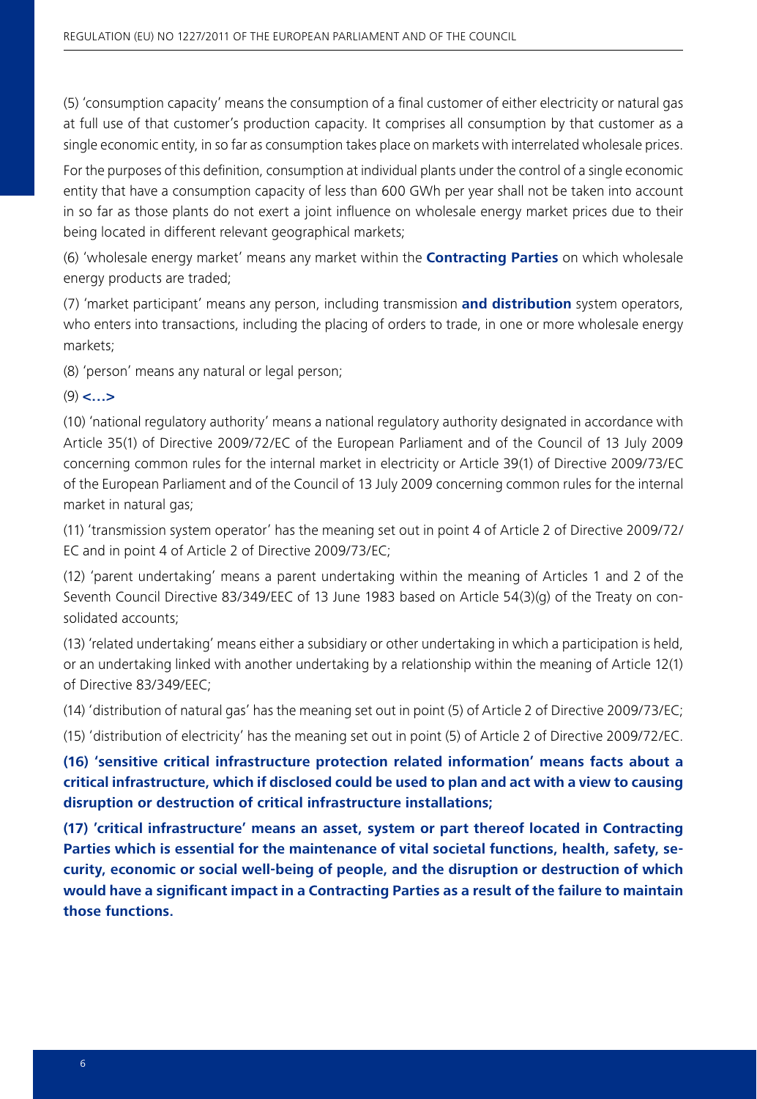(5) 'consumption capacity' means the consumption of a final customer of either electricity or natural gas at full use of that customer's production capacity. It comprises all consumption by that customer as a single economic entity, in so far as consumption takes place on markets with interrelated wholesale prices.

For the purposes of this definition, consumption at individual plants under the control of a single economic entity that have a consumption capacity of less than 600 GWh per year shall not be taken into account in so far as those plants do not exert a joint influence on wholesale energy market prices due to their being located in different relevant geographical markets;

(6) 'wholesale energy market' means any market within the **Contracting Parties** on which wholesale energy products are traded;

(7) 'market participant' means any person, including transmission **and distribution** system operators, who enters into transactions, including the placing of orders to trade, in one or more wholesale energy markets;

(8) 'person' means any natural or legal person;

### (9) **<…>**

(10) 'national regulatory authority' means a national regulatory authority designated in accordance with Article 35(1) of Directive 2009/72/EC of the European Parliament and of the Council of 13 July 2009 concerning common rules for the internal market in electricity or Article 39(1) of Directive 2009/73/EC of the European Parliament and of the Council of 13 July 2009 concerning common rules for the internal market in natural gas;

(11) 'transmission system operator' has the meaning set out in point 4 of Article 2 of Directive 2009/72/ EC and in point 4 of Article 2 of Directive 2009/73/EC;

(12) 'parent undertaking' means a parent undertaking within the meaning of Articles 1 and 2 of the Seventh Council Directive 83/349/EEC of 13 June 1983 based on Article 54(3)(g) of the Treaty on consolidated accounts;

(13) 'related undertaking' means either a subsidiary or other undertaking in which a participation is held, or an undertaking linked with another undertaking by a relationship within the meaning of Article 12(1) of Directive 83/349/EEC;

(14) 'distribution of natural gas' has the meaning set out in point (5) of Article 2 of Directive 2009/73/EC;

(15) 'distribution of electricity' has the meaning set out in point (5) of Article 2 of Directive 2009/72/EC.

**(16) 'sensitive critical infrastructure protection related information' means facts about a critical infrastructure, which if disclosed could be used to plan and act with a view to causing disruption or destruction of critical infrastructure installations;**

**(17) 'critical infrastructure' means an asset, system or part thereof located in Contracting Parties which is essential for the maintenance of vital societal functions, health, safety, security, economic or social well-being of people, and the disruption or destruction of which would have a significant impact in a Contracting Parties as a result of the failure to maintain those functions.**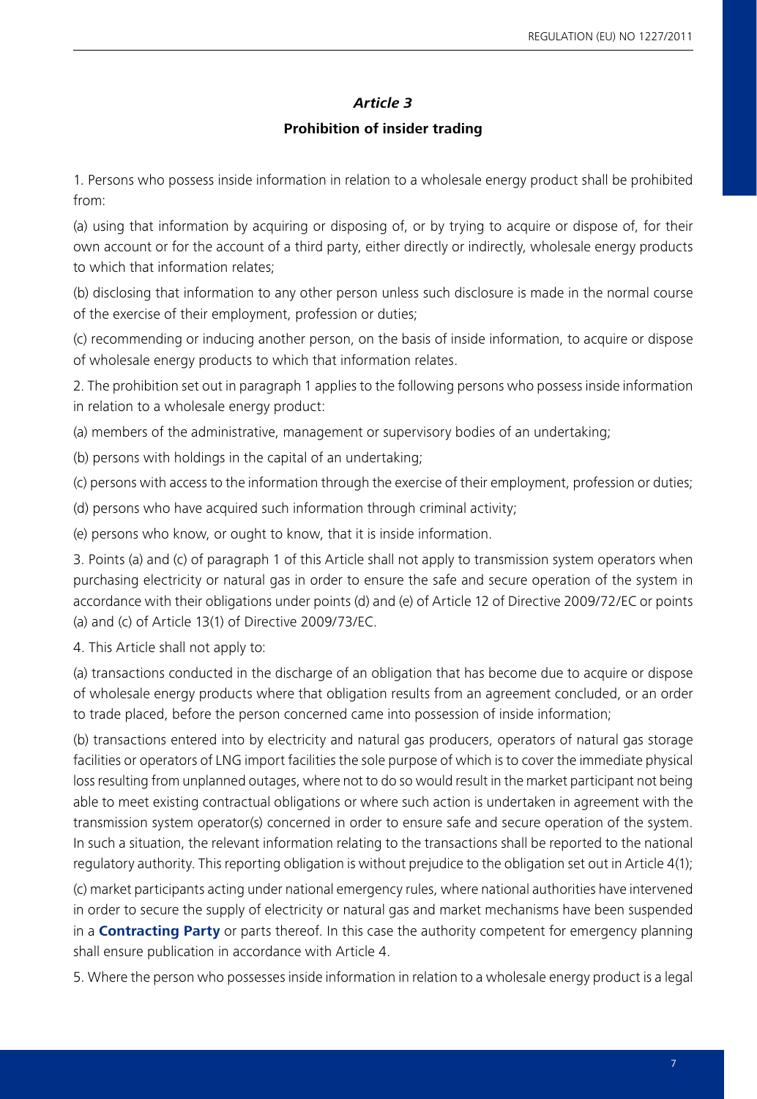#### *Article 3*

#### **Prohibition of insider trading**

1. Persons who possess inside information in relation to a wholesale energy product shall be prohibited from:

(a) using that information by acquiring or disposing of, or by trying to acquire or dispose of, for their own account or for the account of a third party, either directly or indirectly, wholesale energy products to which that information relates;

(b) disclosing that information to any other person unless such disclosure is made in the normal course of the exercise of their employment, profession or duties;

(c) recommending or inducing another person, on the basis of inside information, to acquire or dispose of wholesale energy products to which that information relates.

2. The prohibition set out in paragraph 1 applies to the following persons who possess inside information in relation to a wholesale energy product:

(a) members of the administrative, management or supervisory bodies of an undertaking;

(b) persons with holdings in the capital of an undertaking;

(c) persons with access to the information through the exercise of their employment, profession or duties;

(d) persons who have acquired such information through criminal activity;

(e) persons who know, or ought to know, that it is inside information.

3. Points (a) and (c) of paragraph 1 of this Article shall not apply to transmission system operators when purchasing electricity or natural gas in order to ensure the safe and secure operation of the system in accordance with their obligations under points (d) and (e) of Article 12 of Directive 2009/72/EC or points (a) and (c) of Article 13(1) of Directive 2009/73/EC.

4. This Article shall not apply to:

(a) transactions conducted in the discharge of an obligation that has become due to acquire or dispose of wholesale energy products where that obligation results from an agreement concluded, or an order to trade placed, before the person concerned came into possession of inside information;

(b) transactions entered into by electricity and natural gas producers, operators of natural gas storage facilities or operators of LNG import facilities the sole purpose of which is to cover the immediate physical loss resulting from unplanned outages, where not to do so would result in the market participant not being able to meet existing contractual obligations or where such action is undertaken in agreement with the transmission system operator(s) concerned in order to ensure safe and secure operation of the system. In such a situation, the relevant information relating to the transactions shall be reported to the national regulatory authority. This reporting obligation is without prejudice to the obligation set out in Article 4(1);

(c) market participants acting under national emergency rules, where national authorities have intervened in order to secure the supply of electricity or natural gas and market mechanisms have been suspended in a **Contracting Party** or parts thereof. In this case the authority competent for emergency planning shall ensure publication in accordance with Article 4.

5. Where the person who possesses inside information in relation to a wholesale energy product is a legal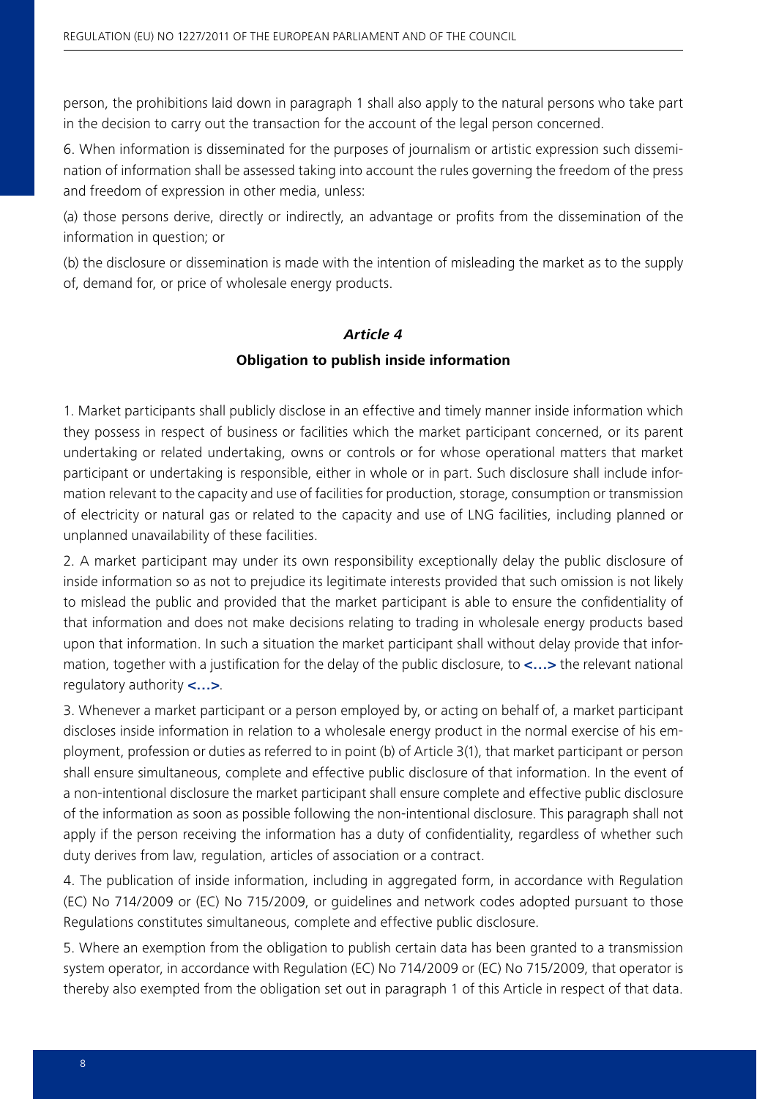person, the prohibitions laid down in paragraph 1 shall also apply to the natural persons who take part in the decision to carry out the transaction for the account of the legal person concerned.

6. When information is disseminated for the purposes of journalism or artistic expression such dissemination of information shall be assessed taking into account the rules governing the freedom of the press and freedom of expression in other media, unless:

(a) those persons derive, directly or indirectly, an advantage or profits from the dissemination of the information in question; or

(b) the disclosure or dissemination is made with the intention of misleading the market as to the supply of, demand for, or price of wholesale energy products.

### *Article 4*

#### **Obligation to publish inside information**

1. Market participants shall publicly disclose in an effective and timely manner inside information which they possess in respect of business or facilities which the market participant concerned, or its parent undertaking or related undertaking, owns or controls or for whose operational matters that market participant or undertaking is responsible, either in whole or in part. Such disclosure shall include information relevant to the capacity and use of facilities for production, storage, consumption or transmission of electricity or natural gas or related to the capacity and use of LNG facilities, including planned or unplanned unavailability of these facilities.

2. A market participant may under its own responsibility exceptionally delay the public disclosure of inside information so as not to prejudice its legitimate interests provided that such omission is not likely to mislead the public and provided that the market participant is able to ensure the confidentiality of that information and does not make decisions relating to trading in wholesale energy products based upon that information. In such a situation the market participant shall without delay provide that information, together with a justification for the delay of the public disclosure, to **<…>** the relevant national regulatory authority **<…>**.

3. Whenever a market participant or a person employed by, or acting on behalf of, a market participant discloses inside information in relation to a wholesale energy product in the normal exercise of his employment, profession or duties as referred to in point (b) of Article 3(1), that market participant or person shall ensure simultaneous, complete and effective public disclosure of that information. In the event of a non-intentional disclosure the market participant shall ensure complete and effective public disclosure of the information as soon as possible following the non-intentional disclosure. This paragraph shall not apply if the person receiving the information has a duty of confidentiality, regardless of whether such duty derives from law, regulation, articles of association or a contract.

4. The publication of inside information, including in aggregated form, in accordance with Regulation (EC) No 714/2009 or (EC) No 715/2009, or guidelines and network codes adopted pursuant to those Regulations constitutes simultaneous, complete and effective public disclosure.

5. Where an exemption from the obligation to publish certain data has been granted to a transmission system operator, in accordance with Regulation (EC) No 714/2009 or (EC) No 715/2009, that operator is thereby also exempted from the obligation set out in paragraph 1 of this Article in respect of that data.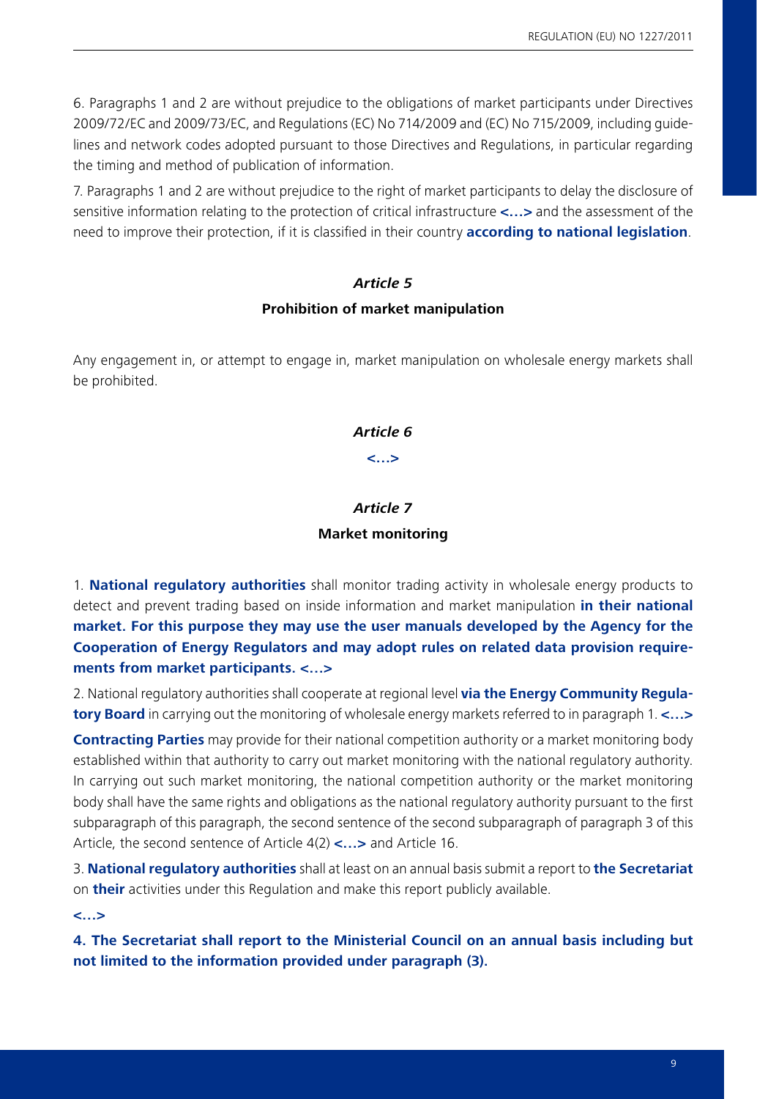6. Paragraphs 1 and 2 are without prejudice to the obligations of market participants under Directives 2009/72/EC and 2009/73/EC, and Regulations (EC) No 714/2009 and (EC) No 715/2009, including guidelines and network codes adopted pursuant to those Directives and Regulations, in particular regarding the timing and method of publication of information.

7. Paragraphs 1 and 2 are without prejudice to the right of market participants to delay the disclosure of sensitive information relating to the protection of critical infrastructure **<…>** and the assessment of the need to improve their protection, if it is classified in their country **according to national legislation**.

### *Article 5*

#### **Prohibition of market manipulation**

Any engagement in, or attempt to engage in, market manipulation on wholesale energy markets shall be prohibited.

### *Article 6*

**<…>**

# *Article 7*

### **Market monitoring**

1. **National regulatory authorities** shall monitor trading activity in wholesale energy products to detect and prevent trading based on inside information and market manipulation **in their national market. For this purpose they may use the user manuals developed by the Agency for the Cooperation of Energy Regulators and may adopt rules on related data provision requirements from market participants. <…>**

2. National regulatory authorities shall cooperate at regional level **via the Energy Community Regulatory Board** in carrying out the monitoring of wholesale energy markets referred to in paragraph 1. **<…>**

**Contracting Parties** may provide for their national competition authority or a market monitoring body established within that authority to carry out market monitoring with the national regulatory authority. In carrying out such market monitoring, the national competition authority or the market monitoring body shall have the same rights and obligations as the national regulatory authority pursuant to the first subparagraph of this paragraph, the second sentence of the second subparagraph of paragraph 3 of this Article, the second sentence of Article 4(2) **<…>** and Article 16.

3. **National regulatory authorities** shall at least on an annual basis submit a report to **the Secretariat** on **their** activities under this Regulation and make this report publicly available.

**<…>**

**4. The Secretariat shall report to the Ministerial Council on an annual basis including but not limited to the information provided under paragraph (3).**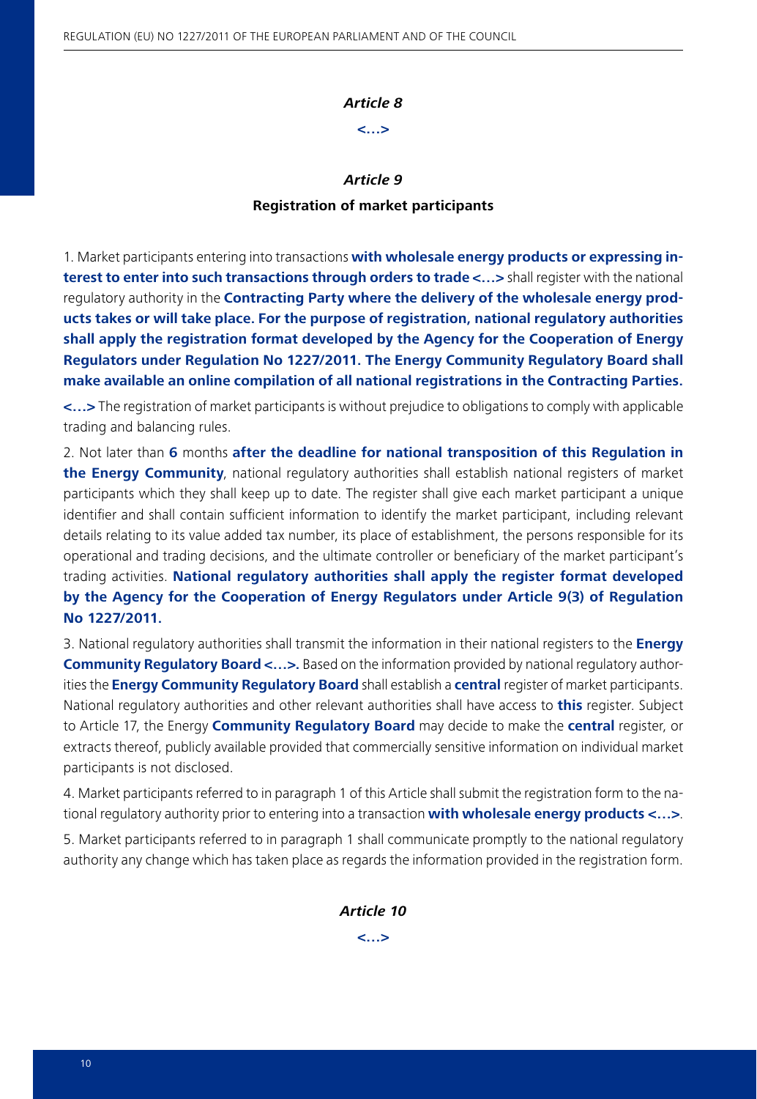#### *Article 8*

**<…>**

#### *Article 9*

#### **Registration of market participants**

1. Market participants entering into transactions **with wholesale energy products or expressing interest to enter into such transactions through orders to trade <…>** shall register with the national regulatory authority in the **Contracting Party where the delivery of the wholesale energy products takes or will take place. For the purpose of registration, national regulatory authorities shall apply the registration format developed by the Agency for the Cooperation of Energy Regulators under Regulation No 1227/2011. The Energy Community Regulatory Board shall make available an online compilation of all national registrations in the Contracting Parties.**

**<…>** The registration of market participants is without prejudice to obligations to comply with applicable trading and balancing rules.

2. Not later than **6** months **after the deadline for national transposition of this Regulation in the Energy Community**, national regulatory authorities shall establish national registers of market participants which they shall keep up to date. The register shall give each market participant a unique identifier and shall contain sufficient information to identify the market participant, including relevant details relating to its value added tax number, its place of establishment, the persons responsible for its operational and trading decisions, and the ultimate controller or beneficiary of the market participant's trading activities. **National regulatory authorities shall apply the register format developed by the Agency for the Cooperation of Energy Regulators under Article 9(3) of Regulation No 1227/2011.**

3. National regulatory authorities shall transmit the information in their national registers to the **Energy Community Regulatory Board <…>.** Based on the information provided by national regulatory authorities the **Energy Community Regulatory Board** shall establish a **central** register of market participants. National regulatory authorities and other relevant authorities shall have access to **this** register. Subject to Article 17, the Energy **Community Regulatory Board** may decide to make the **central** register, or extracts thereof, publicly available provided that commercially sensitive information on individual market participants is not disclosed.

4. Market participants referred to in paragraph 1 of this Article shall submit the registration form to the national regulatory authority prior to entering into a transaction **with wholesale energy products <…>**.

5. Market participants referred to in paragraph 1 shall communicate promptly to the national regulatory authority any change which has taken place as regards the information provided in the registration form.

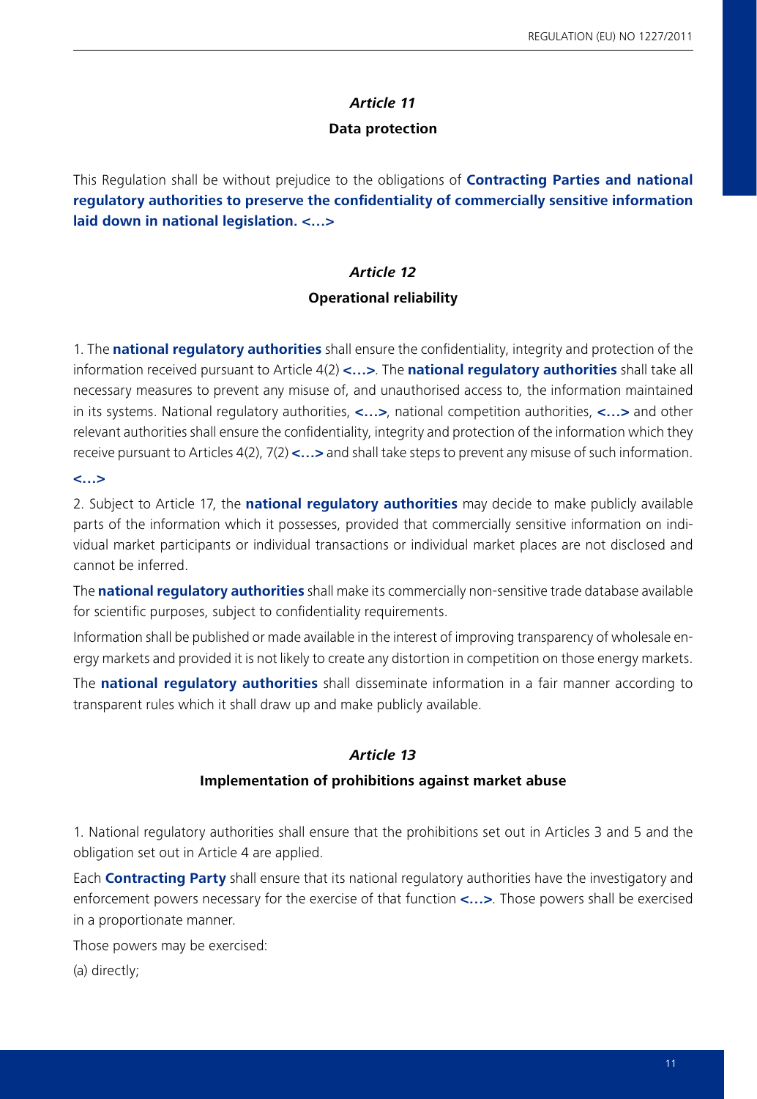### *Article 11*

### **Data protection**

This Regulation shall be without prejudice to the obligations of **Contracting Parties and national regulatory authorities to preserve the confidentiality of commercially sensitive information laid down in national legislation. <…>**

### *Article 12*

### **Operational reliability**

1. The **national regulatory authorities** shall ensure the confidentiality, integrity and protection of the information received pursuant to Article 4(2) **<…>**. The **national regulatory authorities** shall take all necessary measures to prevent any misuse of, and unauthorised access to, the information maintained in its systems. National regulatory authorities, **<…>**, national competition authorities, **<…>** and other relevant authorities shall ensure the confidentiality, integrity and protection of the information which they receive pursuant to Articles 4(2), 7(2) **<…>** and shall take steps to prevent any misuse of such information.

### **<…>**

2. Subject to Article 17, the **national regulatory authorities** may decide to make publicly available parts of the information which it possesses, provided that commercially sensitive information on individual market participants or individual transactions or individual market places are not disclosed and cannot be inferred.

The **national regulatory authorities** shall make its commercially non-sensitive trade database available for scientific purposes, subject to confidentiality requirements.

Information shall be published or made available in the interest of improving transparency of wholesale energy markets and provided it is not likely to create any distortion in competition on those energy markets.

The **national regulatory authorities** shall disseminate information in a fair manner according to transparent rules which it shall draw up and make publicly available.

### *Article 13*

### **Implementation of prohibitions against market abuse**

1. National regulatory authorities shall ensure that the prohibitions set out in Articles 3 and 5 and the obligation set out in Article 4 are applied.

Each **Contracting Party** shall ensure that its national regulatory authorities have the investigatory and enforcement powers necessary for the exercise of that function **<…>**. Those powers shall be exercised in a proportionate manner.

Those powers may be exercised:

(a) directly;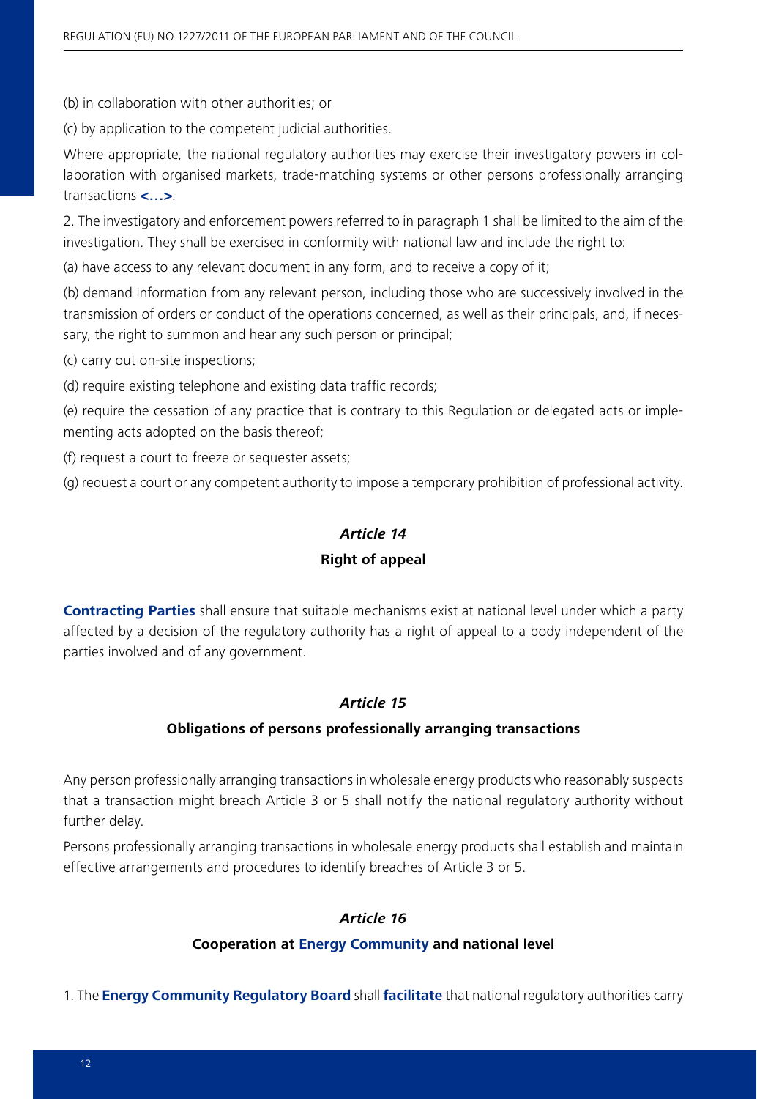(b) in collaboration with other authorities; or

(c) by application to the competent judicial authorities.

Where appropriate, the national regulatory authorities may exercise their investigatory powers in collaboration with organised markets, trade-matching systems or other persons professionally arranging transactions **<…>**.

2. The investigatory and enforcement powers referred to in paragraph 1 shall be limited to the aim of the investigation. They shall be exercised in conformity with national law and include the right to:

(a) have access to any relevant document in any form, and to receive a copy of it;

(b) demand information from any relevant person, including those who are successively involved in the transmission of orders or conduct of the operations concerned, as well as their principals, and, if necessary, the right to summon and hear any such person or principal;

(c) carry out on-site inspections;

(d) require existing telephone and existing data traffic records;

(e) require the cessation of any practice that is contrary to this Regulation or delegated acts or implementing acts adopted on the basis thereof;

(f) request a court to freeze or sequester assets;

(g) request a court or any competent authority to impose a temporary prohibition of professional activity.

### *Article 14*

#### **Right of appeal**

**Contracting Parties** shall ensure that suitable mechanisms exist at national level under which a party affected by a decision of the regulatory authority has a right of appeal to a body independent of the parties involved and of any government.

### *Article 15*

#### **Obligations of persons professionally arranging transactions**

Any person professionally arranging transactions in wholesale energy products who reasonably suspects that a transaction might breach Article 3 or 5 shall notify the national regulatory authority without further delay.

Persons professionally arranging transactions in wholesale energy products shall establish and maintain effective arrangements and procedures to identify breaches of Article 3 or 5.

### *Article 16*

#### **Cooperation at Energy Community and national level**

1. The **Energy Community Regulatory Board** shall **facilitate** that national regulatory authorities carry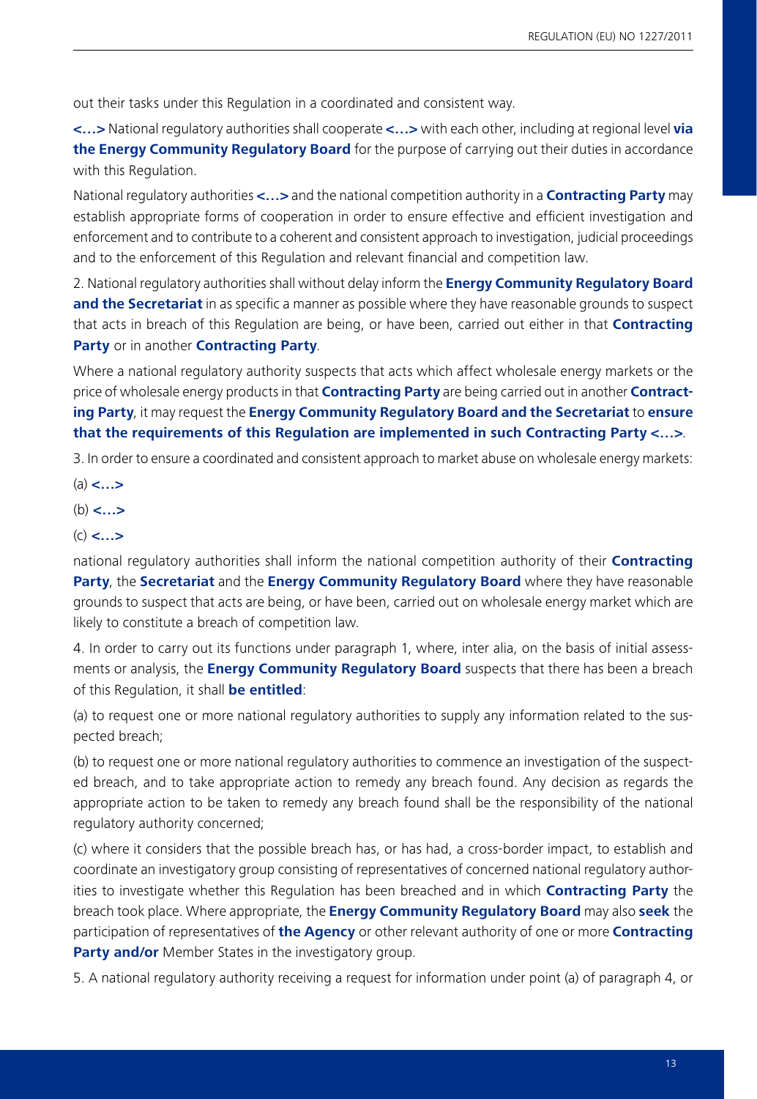out their tasks under this Regulation in a coordinated and consistent way.

**<…>** National regulatory authorities shall cooperate **<…>** with each other, including at regional level **via the Energy Community Regulatory Board** for the purpose of carrying out their duties in accordance with this Regulation.

National regulatory authorities **<…>** and the national competition authority in a **Contracting Party** may establish appropriate forms of cooperation in order to ensure effective and efficient investigation and enforcement and to contribute to a coherent and consistent approach to investigation, judicial proceedings and to the enforcement of this Regulation and relevant financial and competition law.

2. National regulatory authorities shall without delay inform the **Energy Community Regulatory Board and the Secretariat** in as specific a manner as possible where they have reasonable grounds to suspect that acts in breach of this Regulation are being, or have been, carried out either in that **Contracting Party** or in another **Contracting Party**.

Where a national regulatory authority suspects that acts which affect wholesale energy markets or the price of wholesale energy products in that **Contracting Party** are being carried out in another **Contracting Party**, it may request the **Energy Community Regulatory Board and the Secretariat** to **ensure that the requirements of this Regulation are implemented in such Contracting Party <…>**.

3. In order to ensure a coordinated and consistent approach to market abuse on wholesale energy markets:

- (a) **<…>**
- (b) **<…>**
- (c) **<…>**

national regulatory authorities shall inform the national competition authority of their **Contracting Party**, the **Secretariat** and the **Energy Community Regulatory Board** where they have reasonable grounds to suspect that acts are being, or have been, carried out on wholesale energy market which are likely to constitute a breach of competition law.

4. In order to carry out its functions under paragraph 1, where, inter alia, on the basis of initial assessments or analysis, the **Energy Community Regulatory Board** suspects that there has been a breach of this Regulation, it shall **be entitled**:

(a) to request one or more national regulatory authorities to supply any information related to the suspected breach;

(b) to request one or more national regulatory authorities to commence an investigation of the suspected breach, and to take appropriate action to remedy any breach found. Any decision as regards the appropriate action to be taken to remedy any breach found shall be the responsibility of the national regulatory authority concerned;

(c) where it considers that the possible breach has, or has had, a cross-border impact, to establish and coordinate an investigatory group consisting of representatives of concerned national regulatory authorities to investigate whether this Regulation has been breached and in which **Contracting Party** the breach took place. Where appropriate, the **Energy Community Regulatory Board** may also **seek** the participation of representatives of **the Agency** or other relevant authority of one or more **Contracting Party and/or** Member States in the investigatory group.

5. A national regulatory authority receiving a request for information under point (a) of paragraph 4, or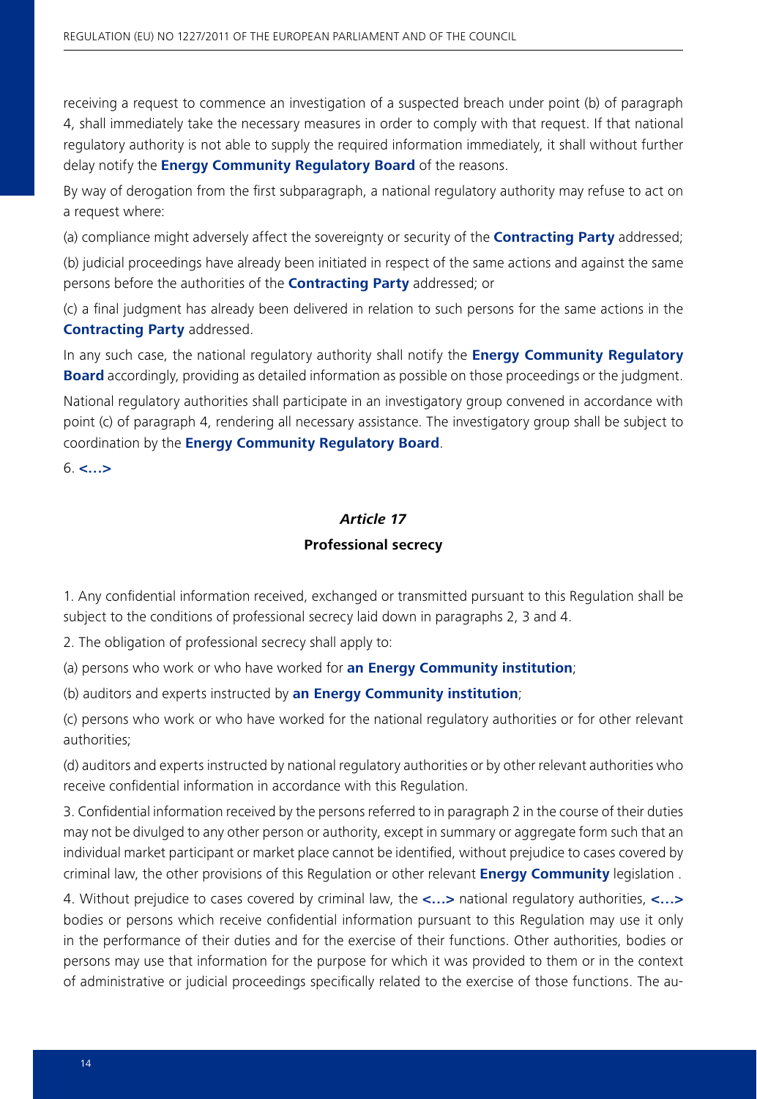receiving a request to commence an investigation of a suspected breach under point (b) of paragraph 4, shall immediately take the necessary measures in order to comply with that request. If that national regulatory authority is not able to supply the required information immediately, it shall without further delay notify the **Energy Community Regulatory Board** of the reasons.

By way of derogation from the first subparagraph, a national regulatory authority may refuse to act on a request where:

(a) compliance might adversely affect the sovereignty or security of the **Contracting Party** addressed;

(b) judicial proceedings have already been initiated in respect of the same actions and against the same persons before the authorities of the **Contracting Party** addressed; or

(c) a final judgment has already been delivered in relation to such persons for the same actions in the **Contracting Party** addressed.

In any such case, the national regulatory authority shall notify the **Energy Community Regulatory Board** accordingly, providing as detailed information as possible on those proceedings or the judgment.

National regulatory authorities shall participate in an investigatory group convened in accordance with point (c) of paragraph 4, rendering all necessary assistance. The investigatory group shall be subject to coordination by the **Energy Community Regulatory Board**.

6. **<…>**

#### *Article 17*

#### **Professional secrecy**

1. Any confidential information received, exchanged or transmitted pursuant to this Regulation shall be subject to the conditions of professional secrecy laid down in paragraphs 2, 3 and 4.

2. The obligation of professional secrecy shall apply to:

(a) persons who work or who have worked for **an Energy Community institution**;

(b) auditors and experts instructed by **an Energy Community institution**;

(c) persons who work or who have worked for the national regulatory authorities or for other relevant authorities;

(d) auditors and experts instructed by national regulatory authorities or by other relevant authorities who receive confidential information in accordance with this Regulation.

3. Confidential information received by the persons referred to in paragraph 2 in the course of their duties may not be divulged to any other person or authority, except in summary or aggregate form such that an individual market participant or market place cannot be identified, without prejudice to cases covered by criminal law, the other provisions of this Regulation or other relevant **Energy Community** legislation .

4. Without prejudice to cases covered by criminal law, the **<…>** national regulatory authorities, **<…>** bodies or persons which receive confidential information pursuant to this Regulation may use it only in the performance of their duties and for the exercise of their functions. Other authorities, bodies or persons may use that information for the purpose for which it was provided to them or in the context of administrative or judicial proceedings specifically related to the exercise of those functions. The au